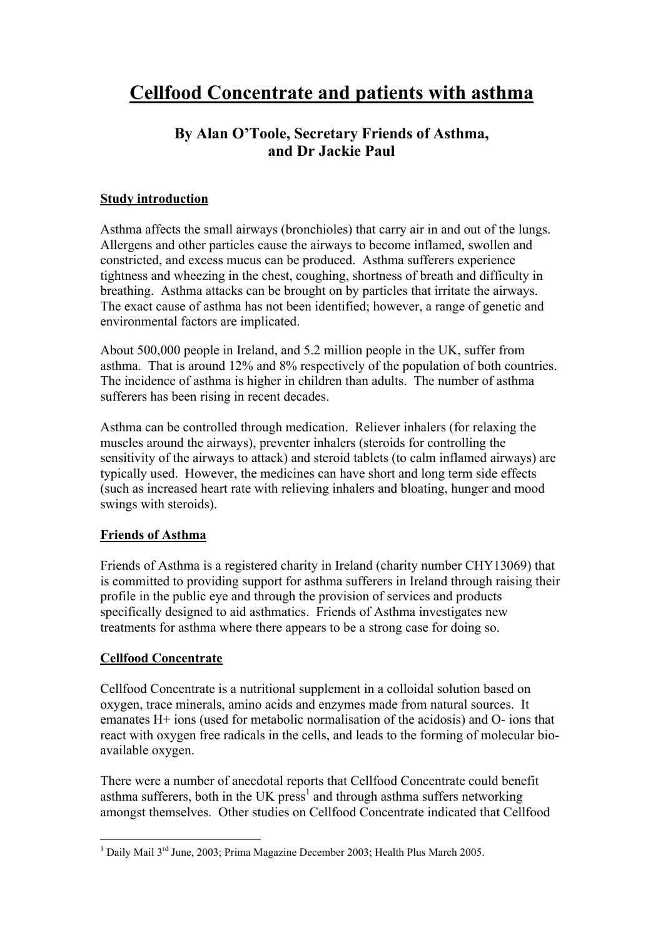# **By Alan O'Toole, Secretary Friends of Asthma, and Dr Jackie Paul**

## **Study introduction**

Asthma affects the small airways (bronchioles) that carry air in and out of the lungs. Allergens and other particles cause the airways to become inflamed, swollen and constricted, and excess mucus can be produced. Asthma sufferers experience tightness and wheezing in the chest, coughing, shortness of breath and difficulty in breathing. Asthma attacks can be brought on by particles that irritate the airways. The exact cause of asthma has not been identified; however, a range of genetic and environmental factors are implicated.

About 500,000 people in Ireland, and 5.2 million people in the UK, suffer from asthma. That is around 12% and 8% respectively of the population of both countries. The incidence of asthma is higher in children than adults. The number of asthma sufferers has been rising in recent decades.

Asthma can be controlled through medication. Reliever inhalers (for relaxing the muscles around the airways), preventer inhalers (steroids for controlling the sensitivity of the airways to attack) and steroid tablets (to calm inflamed airways) are typically used. However, the medicines can have short and long term side effects (such as increased heart rate with relieving inhalers and bloating, hunger and mood swings with steroids).

## **Friends of Asthma**

Friends of Asthma is a registered charity in Ireland (charity number CHY13069) that is committed to providing support for asthma sufferers in Ireland through raising their profile in the public eye and through the provision of services and products specifically designed to aid asthmatics. Friends of Asthma investigates new treatments for asthma where there appears to be a strong case for doing so.

## **Cellfood Concentrate**

Cellfood Concentrate is a nutritional supplement in a colloidal solution based on oxygen, trace minerals, amino acids and enzymes made from natural sources. It emanates H+ ions (used for metabolic normalisation of the acidosis) and O- ions that react with oxygen free radicals in the cells, and leads to the forming of molecular bioavailable oxygen.

There were a number of anecdotal reports that Cellfood Concentrate could benefit asthma sufferers, both in the UK  $pres<sup>1</sup>$  and through asthma suffers networking amongst themselves. Other studies on Cellfood Concentrate indicated that Cellfood

 $\frac{1}{1}$ <sup>1</sup> Daily Mail  $3^{rd}$  June, 2003; Prima Magazine December 2003; Health Plus March 2005.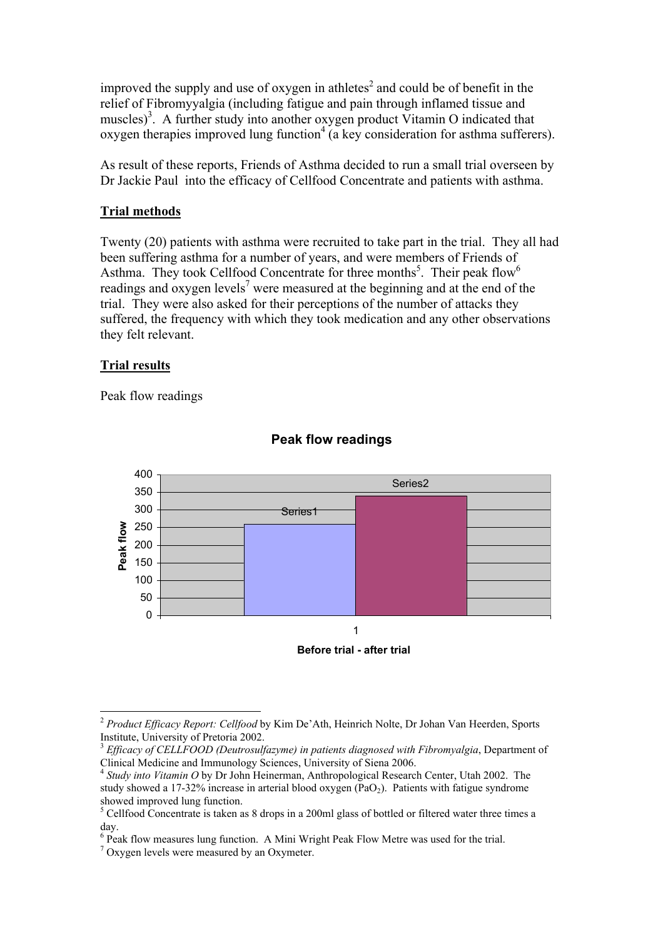improved the supply and use of oxygen in athletes<sup>2</sup> and could be of benefit in the relief of Fibromyyalgia (including fatigue and pain through inflamed tissue and muscles)<sup>3</sup>. A further study into another oxygen product Vitamin O indicated that oxygen therapies improved lung function<sup>4</sup> (a key consideration for asthma sufferers).

As result of these reports, Friends of Asthma decided to run a small trial overseen by Dr Jackie Paul into the efficacy of Cellfood Concentrate and patients with asthma.

#### **Trial methods**

Twenty (20) patients with asthma were recruited to take part in the trial. They all had been suffering asthma for a number of years, and were members of Friends of Asthma. They took Cellfood Concentrate for three months<sup>5</sup>. Their peak flow<sup>6</sup> readings and oxygen levels<sup>7</sup> were measured at the beginning and at the end of the trial. They were also asked for their perceptions of the number of attacks they suffered, the frequency with which they took medication and any other observations they felt relevant.

#### **Trial results**

Peak flow readings



### **Peak flow readings**

**Before trial - after trial**

 <sup>2</sup> *Product Efficacy Report: Cellfood* by Kim De'Ath, Heinrich Nolte, Dr Johan Van Heerden, Sports Institute, University of Pretoria 2002.

<sup>&</sup>lt;sup>3</sup> *Efficacy of CELLFOOD (Deutrosulfazyme) in patients diagnosed with Fibromyalgia*, Department of Clinical Medicine and Immunology Sciences, University of Siena 2006.

<sup>4</sup> *Study into Vitamin O* by Dr John Heinerman, Anthropological Research Center, Utah 2002. The study showed a 17-32% increase in arterial blood oxygen  $(PaO<sub>2</sub>)$ . Patients with fatigue syndrome showed improved lung function.

<sup>&</sup>lt;sup>5</sup> Cellfood Concentrate is taken as 8 drops in a 200ml glass of bottled or filtered water three times a day.

 $6$  Peak flow measures lung function. A Mini Wright Peak Flow Metre was used for the trial.

<sup>&</sup>lt;sup>7</sup> Oxygen levels were measured by an Oxymeter.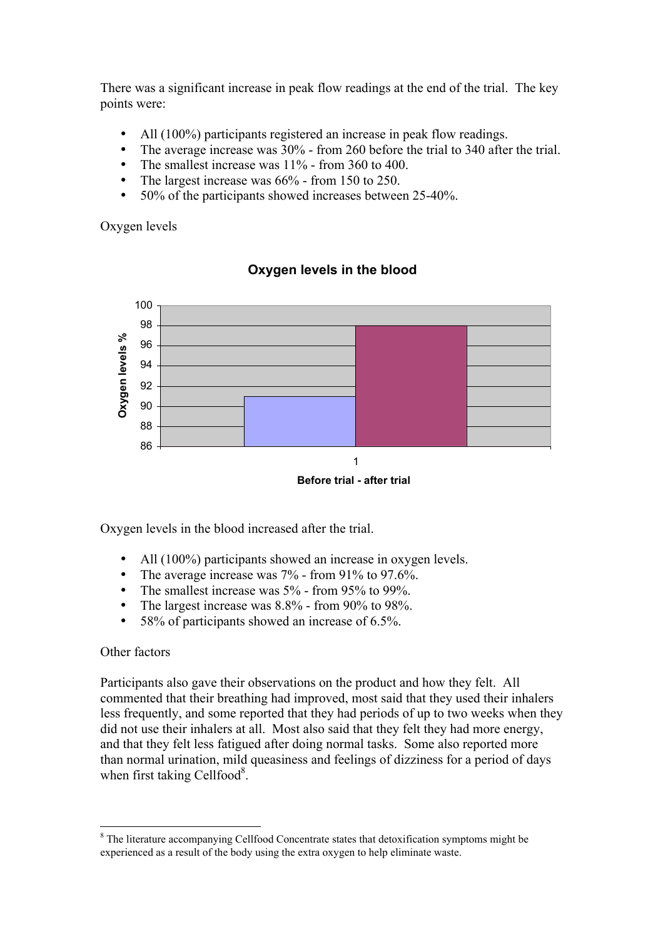There was a significant increase in peak flow readings at the end of the trial. The key points were:

- All (100%) participants registered an increase in peak flow readings.
- The average increase was 30% from 260 before the trial to 340 after the trial.
- The smallest increase was  $11\%$  from 360 to 400.
- The largest increase was  $66\%$  from 150 to 250.
- 50% of the participants showed increases between 25-40%.

Oxygen levels



### **Oxygen levels in the blood**

**Before trial - after trial**

Oxygen levels in the blood increased after the trial.

- All (100%) participants showed an increase in oxygen levels.
- The average increase was  $7\%$  from 91% to 97.6%.
- The smallest increase was 5% from 95% to 99%.
- The largest increase was 8.8% from 90% to 98%.
- 58% of participants showed an increase of 6.5%.

#### Other factors

Participants also gave their observations on the product and how they felt. All commented that their breathing had improved, most said that they used their inhalers less frequently, and some reported that they had periods of up to two weeks when they did not use their inhalers at all. Most also said that they felt they had more energy, and that they felt less fatigued after doing normal tasks. Some also reported more than normal urination, mild queasiness and feelings of dizziness for a period of days when first taking Cellfood<sup>8</sup>.

 <sup>8</sup> <sup>8</sup> The literature accompanying Cellfood Concentrate states that detoxification symptoms might be experienced as a result of the body using the extra oxygen to help eliminate waste.